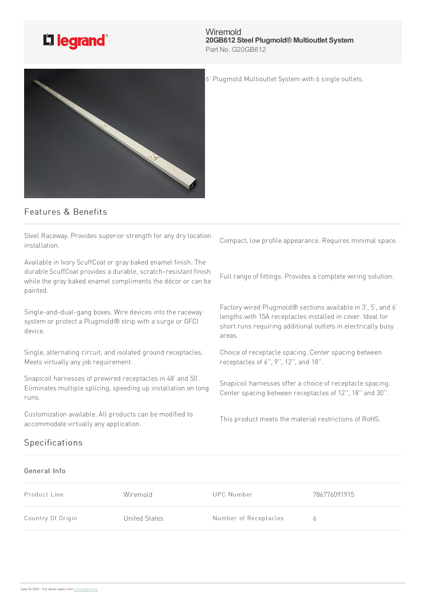

**Wiremold 20GB612 Steel Plugmold® Multioutlet System** Part No. G20GB612

6' Plugmold Multioutlet System with 6 single outlets.



## Features & Benefits

Steel Raceway. Provides superior strength for any dry location installation.

Available in Ivory ScuffCoat or gray baked enamel finish. The durable ScuffCoat provides a durable, scratch-resistant finish while the gray baked enamel compliments the décor or can be painted.

Single-and-dual-gang boxes. Wire devices into the raceway system or protect a Plugmold® strip with a surge or GFCI device.

Single, alternating circuit, and isolated ground receptacles. Meets virtually any job requirement.

Snapicoil harnesses of prewired receptacles in 48' and 50'. Eliminates multiple splicing, speeding up installation on long runs.

Customization available. All products can be modified to accommodate virtually any application.

## Specifications

areas.

Choice of receptacle spacing. Center spacing between receptacles of 6", 9", 12", and 18".

Compact, low profile appearance. Requires minimal space.

Full range of fittings. Provides a complete wiring solution.

Factory wired Plugmold® sections available in 3', 5', and 6' lengths with 15A receptacles installed in cover. Ideal for short runs requiring additional outlets in electrically busy

Snapicoil harnesses offer a choice of receptacle spacing. Center spacing between receptacles of 12", 18" and 30".

This product meets the material restrictions of RoHS.

## General Info

| Product Line      | Wiremold      | UPC Number            | 786776091915 |
|-------------------|---------------|-----------------------|--------------|
| Country Of Origin | United States | Number of Receptacles | <sup>h</sup> |